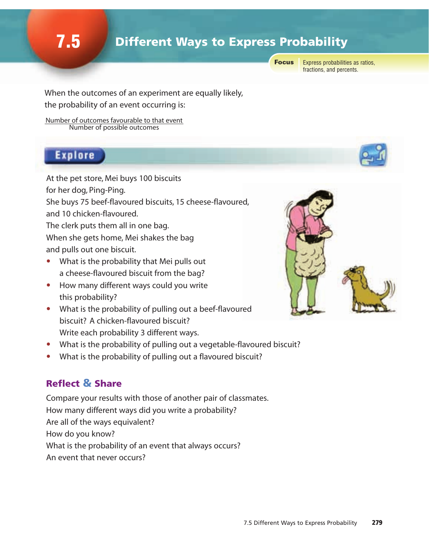## **7.5** Different Ways to Express Probability

**Focus** 

Express probabilities as ratios, fractions, and percents.

When the outcomes of an experiment are equally likely, the probability of an event occurring is:

Number of outcomes favourable to that event Number of possible outcomes

#### **Explore**

At the pet store, Mei buys 100 biscuits for her dog, Ping-Ping. She buys 75 beef-flavoured biscuits, 15 cheese-flavoured, and 10 chicken-flavoured. The clerk puts them all in one bag.

When she gets home, Mei shakes the bag and pulls out one biscuit.

- What is the probability that Mei pulls out a cheese-flavoured biscuit from the bag?
- How many different ways could you write this probability?
- What is the probability of pulling out a beef-flavoured biscuit? A chicken-flavoured biscuit? Write each probability 3 different ways.
- What is the probability of pulling out a vegetable-flavoured biscuit?
- What is the probability of pulling out a flavoured biscuit?

### Reflect & Share

Compare your results with those of another pair of classmates. How many different ways did you write a probability? Are all of the ways equivalent? How do you know? What is the probability of an event that always occurs? An event that never occurs?



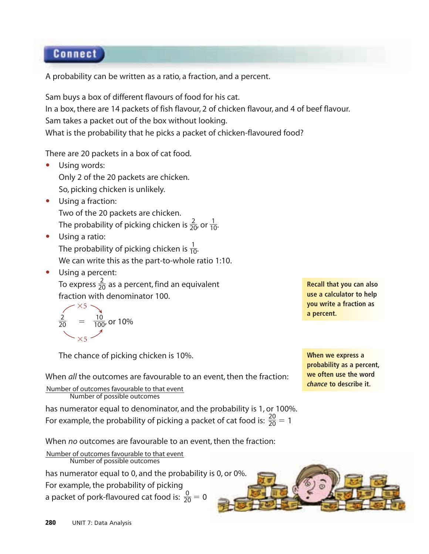#### **Connect**

A probability can be written as a ratio, a fraction, and a percent.

Sam buys a box of different flavours of food for his cat. In a box, there are 14 packets of fish flavour, 2 of chicken flavour, and 4 of beef flavour. Sam takes a packet out of the box without looking. What is the probability that he picks a packet of chicken-flavoured food?

There are 20 packets in a box of cat food.

- Using words: Only 2 of the 20 packets are chicken. So, picking chicken is unlikely.
- Using a fraction: Two of the 20 packets are chicken. The probability of picking chicken is  $\frac{2}{20}$ , or  $\frac{1}{10}$ . 10 2 20
- Using a ratio: The probability of picking chicken is  $\frac{1}{10}$ . We can write this as the part-to-whole ratio 1:10. 10
- Using a percent: To express  $\frac{2}{20}$  as a percent, find an equivalent fraction with denominator 100. 20

$$
\frac{2}{20} = \frac{10}{100}
$$
, or 10%

The chance of picking chicken is 10%.

When *all* the outcomes are favourable to an event, then the fraction:

Number of outcomes favourable to that event Number of possible outcomes

has numerator equal to denominator, and the probability is 1, or 100%. For example, the probability of picking a packet of cat food is:  $\frac{20}{20} = 1$ 20

When *no* outcomes are favourable to an event, then the fraction:

Number of outcomes favourable to that event Number of possible outcomes

has numerator equal to 0, and the probability is 0, or 0%.

For example, the probability of picking

a packet of pork-flavoured cat food is:  $\frac{0}{20} = 0$ 20

**Recall that you can also use a calculator to help you write a fraction as a percent.**

**When we express a probability as a percent, we often use the word** *chance* **to describe it.**

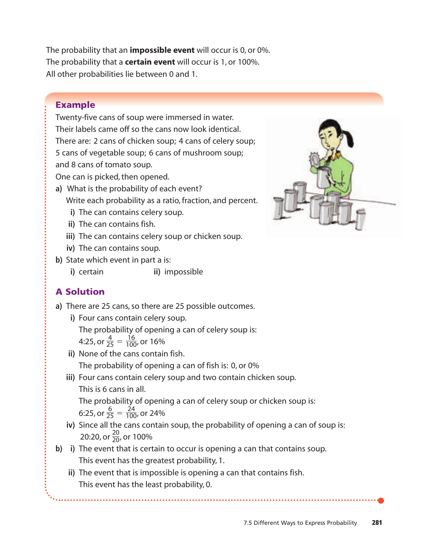The probability that an **impossible event** will occur is 0, or 0%. The probability that a **certain event** will occur is 1, or 100%. All other probabilities lie between 0 and 1.

#### Example

Twenty-five cans of soup were immersed in water. Their labels came off so the cans now look identical. There are: 2 cans of chicken soup; 4 cans of celery soup; 5 cans of vegetable soup; 6 cans of mushroom soup; and 8 cans of tomato soup. One can is picked, then opened.

- **a)** What is the probability of each event? Write each probability as a ratio, fraction, and percent.
	- **i)** The can contains celery soup.
	- **ii)** The can contains fish.
	- **iii)** The can contains celery soup or chicken soup.
	- **iv)** The can contains soup.
- **b)** State which event in part a is:
	- **i)** certain **ii)** impossible

#### A Solution

- **a)** There are 25 cans, so there are 25 possible outcomes.
	- **i)** Four cans contain celery soup.

The probability of opening a can of celery soup is: 4:25, or  $\frac{4}{25} = \frac{16}{100}$ , or 16% 100 4 25

- **ii)** None of the cans contain fish. The probability of opening a can of fish is: 0, or 0%
- **iii)** Four cans contain celery soup and two contain chicken soup. This is 6 cans in all.

The probability of opening a can of celery soup or chicken soup is: 6:25, or  $\frac{6}{25} = \frac{24}{100}$ , or 24% 100 6 25

- **iv)** Since all the cans contain soup, the probability of opening a can of soup is: 20:20, or  $\frac{20}{20}$ , or 100% 20
- **b) i)** The event that is certain to occur is opening a can that contains soup. This event has the greatest probability, 1.
	- **ii)** The event that is impossible is opening a can that contains fish. This event has the least probability, 0.

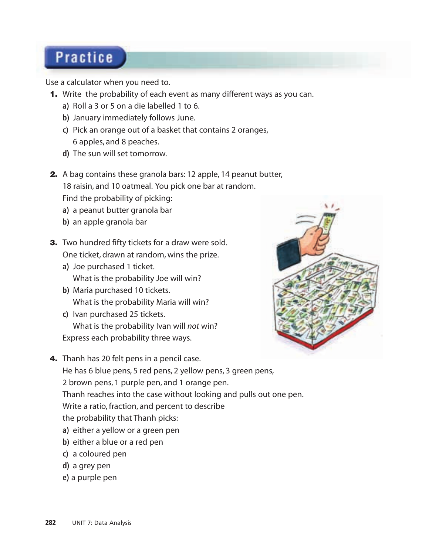# **Practice**

Use a calculator when you need to.

- 1. Write the probability of each event as many different ways as you can.
	- **a)** Roll a 3 or 5 on a die labelled 1 to 6.
	- **b)** January immediately follows June.
	- **c)** Pick an orange out of a basket that contains 2 oranges, 6 apples, and 8 peaches.
	- **d)** The sun will set tomorrow.
- 2. A bag contains these granola bars: 12 apple, 14 peanut butter,

18 raisin, and 10 oatmeal. You pick one bar at random.

Find the probability of picking:

- **a)** a peanut butter granola bar
- **b)** an apple granola bar
- **3.** Two hundred fifty tickets for a draw were sold. One ticket, drawn at random, wins the prize.
	- **a)** Joe purchased 1 ticket. What is the probability Joe will win?
	- **b)** Maria purchased 10 tickets. What is the probability Maria will win?
	- **c)** Ivan purchased 25 tickets. What is the probability Ivan will *not* win? Express each probability three ways.



4. Thanh has 20 felt pens in a pencil case.

He has 6 blue pens, 5 red pens, 2 yellow pens, 3 green pens,

2 brown pens, 1 purple pen, and 1 orange pen.

Thanh reaches into the case without looking and pulls out one pen.

Write a ratio, fraction, and percent to describe

the probability that Thanh picks:

- **a)** either a yellow or a green pen
- **b**) either a blue or a red pen
- **c)** a coloured pen
- **d)** a grey pen
- **e)** a purple pen